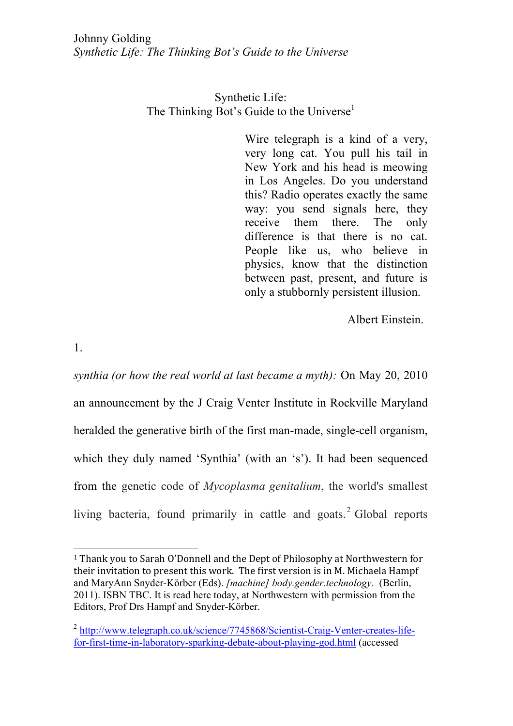Synthetic Life: The Thinking Bot's Guide to the Universe<sup>1</sup>

> Wire telegraph is a kind of a very, very long cat. You pull his tail in New York and his head is meowing in Los Angeles. Do you understand this? Radio operates exactly the same way: you send signals here, they receive them there. The only difference is that there is no cat. People like us, who believe in physics, know that the distinction between past, present, and future is only a stubbornly persistent illusion.

> > Albert Einstein.

1.

 

*synthia (or how the real world at last became a myth):* On May 20, 2010 an announcement by the J Craig Venter Institute in Rockville Maryland heralded the generative birth of the first man-made, single-cell organism, which they duly named 'Synthia' (with an 's'). It had been sequenced from the genetic code of *Mycoplasma genitalium*, the world's smallest living bacteria, found primarily in cattle and goats.<sup>2</sup> Global reports

<sup>&</sup>lt;sup>1</sup> Thank you to Sarah O'Donnell and the Dept of Philosophy at Northwestern for their invitation to present this work. The first version is in M. Michaela Hampf and MaryAnn Snyder-Körber (Eds). *[machine] body.gender.technology.* (Berlin, 2011). ISBN TBC. It is read here today, at Northwestern with permission from the Editors, Prof Drs Hampf and Snyder-Körber.

<sup>&</sup>lt;sup>2</sup> http://www.telegraph.co.uk/science/7745868/Scientist-Craig-Venter-creates-lifefor-first-time-in-laboratory-sparking-debate-about-playing-god.html (accessed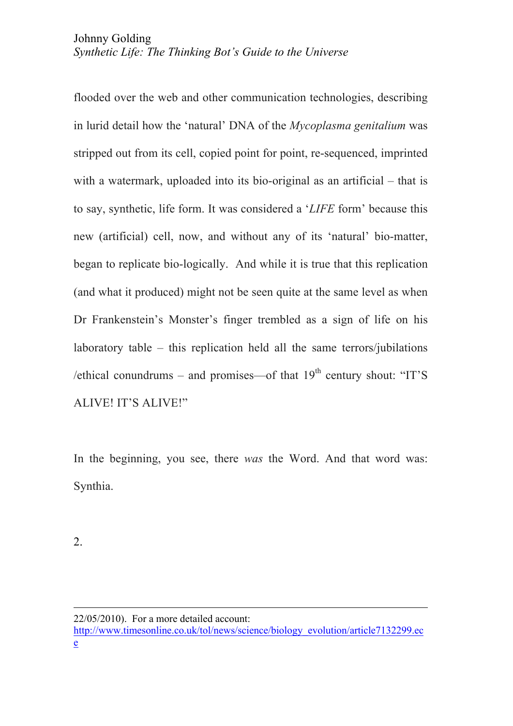flooded over the web and other communication technologies, describing in lurid detail how the 'natural' DNA of the *Mycoplasma genitalium* was stripped out from its cell, copied point for point, re-sequenced, imprinted with a watermark, uploaded into its bio-original as an artificial – that is to say, synthetic, life form. It was considered a '*LIFE* form' because this new (artificial) cell, now, and without any of its 'natural' bio-matter, began to replicate bio-logically. And while it is true that this replication (and what it produced) might not be seen quite at the same level as when Dr Frankenstein's Monster's finger trembled as a sign of life on his laboratory table – this replication held all the same terrors/jubilations /ethical conundrums – and promises—of that  $19<sup>th</sup>$  century shout: "IT'S ALIVE! IT'S ALIVE!"

In the beginning, you see, there *was* the Word. And that word was: Synthia.

2.

<u> 2002 - Andrea San Andrew Maria (h. 1888).</u><br>2003 - Andrew Maria (h. 1882).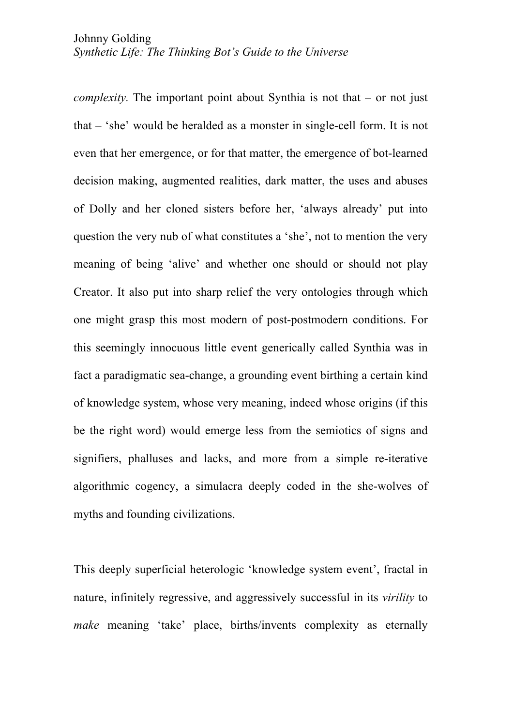*complexity.* The important point about Synthia is not that – or not just that – 'she' would be heralded as a monster in single-cell form. It is not even that her emergence, or for that matter, the emergence of bot-learned decision making, augmented realities, dark matter, the uses and abuses of Dolly and her cloned sisters before her, 'always already' put into question the very nub of what constitutes a 'she', not to mention the very meaning of being 'alive' and whether one should or should not play Creator. It also put into sharp relief the very ontologies through which one might grasp this most modern of post-postmodern conditions. For this seemingly innocuous little event generically called Synthia was in fact a paradigmatic sea-change, a grounding event birthing a certain kind of knowledge system, whose very meaning, indeed whose origins (if this be the right word) would emerge less from the semiotics of signs and signifiers, phalluses and lacks, and more from a simple re-iterative algorithmic cogency, a simulacra deeply coded in the she-wolves of myths and founding civilizations.

This deeply superficial heterologic 'knowledge system event', fractal in nature, infinitely regressive, and aggressively successful in its *virility* to *make* meaning 'take' place, births/invents complexity as eternally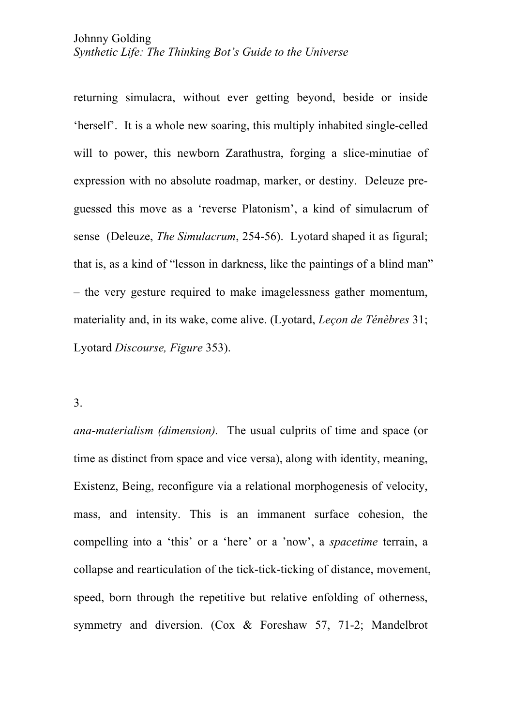returning simulacra, without ever getting beyond, beside or inside 'herself'. It is a whole new soaring, this multiply inhabited single-celled will to power, this newborn Zarathustra, forging a slice-minutiae of expression with no absolute roadmap, marker, or destiny. Deleuze preguessed this move as a 'reverse Platonism', a kind of simulacrum of sense (Deleuze, *The Simulacrum*, 254-56). Lyotard shaped it as figural; that is, as a kind of "lesson in darkness, like the paintings of a blind man" – the very gesture required to make imagelessness gather momentum, materiality and, in its wake, come alive. (Lyotard, *Leçon de Ténèbres* 31; Lyotard *Discourse, Figure* 353).

3.

*ana-materialism (dimension).* The usual culprits of time and space (or time as distinct from space and vice versa), along with identity, meaning, Existenz, Being, reconfigure via a relational morphogenesis of velocity, mass, and intensity. This is an immanent surface cohesion, the compelling into a 'this' or a 'here' or a 'now', a *spacetime* terrain, a collapse and rearticulation of the tick-tick-ticking of distance, movement, speed, born through the repetitive but relative enfolding of otherness, symmetry and diversion. (Cox & Foreshaw 57, 71-2; Mandelbrot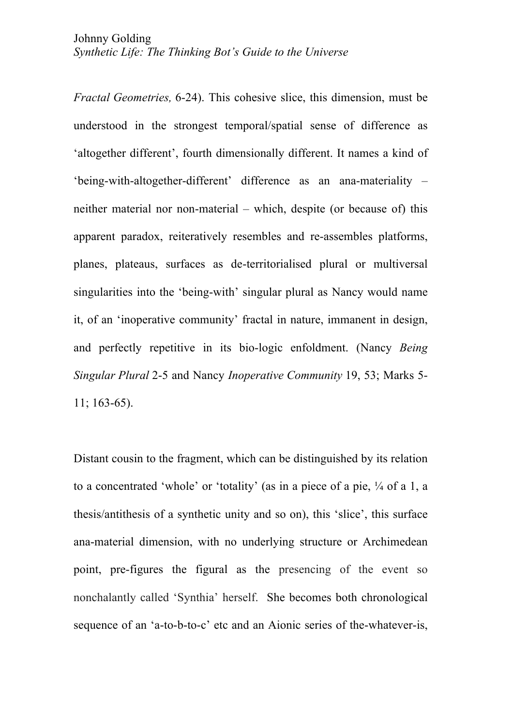*Fractal Geometries,* 6-24). This cohesive slice, this dimension, must be understood in the strongest temporal/spatial sense of difference as 'altogether different', fourth dimensionally different. It names a kind of 'being-with-altogether-different' difference as an ana-materiality – neither material nor non-material – which, despite (or because of) this apparent paradox, reiteratively resembles and re-assembles platforms, planes, plateaus, surfaces as de-territorialised plural or multiversal singularities into the 'being-with' singular plural as Nancy would name it, of an 'inoperative community' fractal in nature, immanent in design, and perfectly repetitive in its bio-logic enfoldment. (Nancy *Being Singular Plural* 2-5 and Nancy *Inoperative Community* 19, 53; Marks 5- 11; 163-65).

Distant cousin to the fragment, which can be distinguished by its relation to a concentrated 'whole' or 'totality' (as in a piece of a pie, ¼ of a 1, a thesis/antithesis of a synthetic unity and so on), this 'slice', this surface ana-material dimension, with no underlying structure or Archimedean point, pre-figures the figural as the presencing of the event so nonchalantly called 'Synthia' herself. She becomes both chronological sequence of an 'a-to-b-to-c' etc and an Aionic series of the-whatever-is,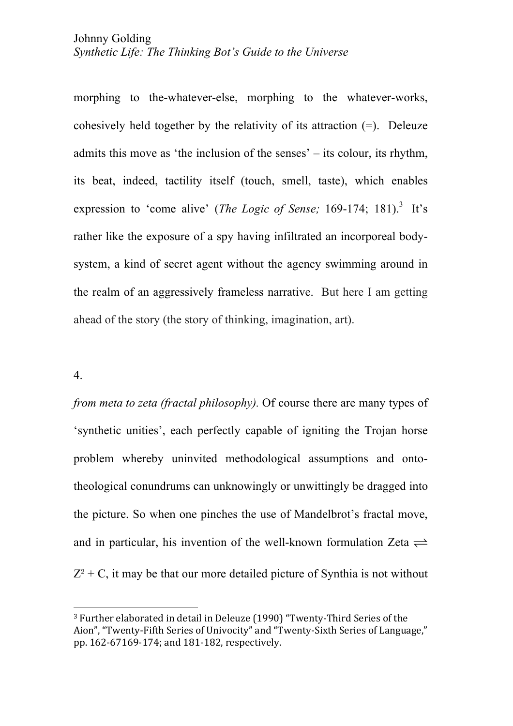morphing to the-whatever-else, morphing to the whatever-works, cohesively held together by the relativity of its attraction (=). Deleuze admits this move as 'the inclusion of the senses' – its colour, its rhythm, its beat, indeed, tactility itself (touch, smell, taste), which enables expression to 'come alive' (*The Logic of Sense*; 169-174; 181).<sup>3</sup> It's rather like the exposure of a spy having infiltrated an incorporeal bodysystem, a kind of secret agent without the agency swimming around in the realm of an aggressively frameless narrative. But here I am getting ahead of the story (the story of thinking, imagination, art).

## 4.

 

*from meta to zeta (fractal philosophy).* Of course there are many types of 'synthetic unities', each perfectly capable of igniting the Trojan horse problem whereby uninvited methodological assumptions and ontotheological conundrums can unknowingly or unwittingly be dragged into the picture. So when one pinches the use of Mandelbrot's fractal move, and in particular, his invention of the well-known formulation Zeta  $\rightleftharpoons$  $Z^2$  + C, it may be that our more detailed picture of Synthia is not without

<sup>&</sup>lt;sup>3</sup> Further elaborated in detail in Deleuze (1990) "Twenty-Third Series of the Aion", "Twenty-Fifth Series of Univocity" and "Twenty-Sixth Series of Language," pp. 162-67169-174; and 181-182, respectively.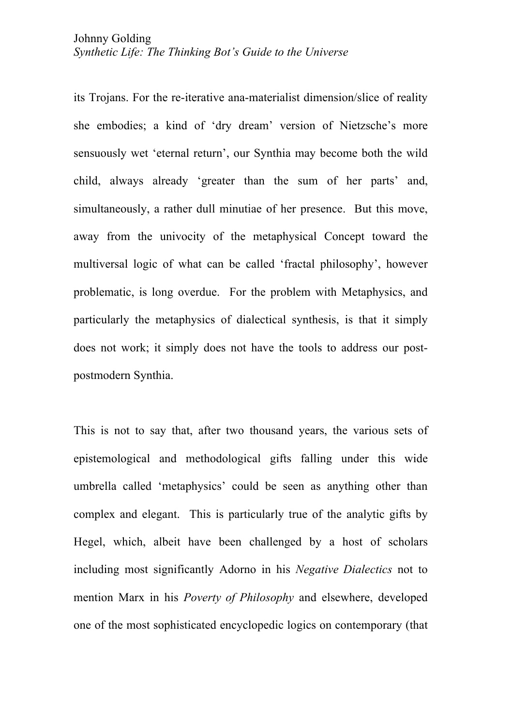its Trojans. For the re-iterative ana-materialist dimension/slice of reality she embodies; a kind of 'dry dream' version of Nietzsche's more sensuously wet 'eternal return', our Synthia may become both the wild child, always already 'greater than the sum of her parts' and, simultaneously, a rather dull minutiae of her presence. But this move, away from the univocity of the metaphysical Concept toward the multiversal logic of what can be called 'fractal philosophy', however problematic, is long overdue. For the problem with Metaphysics, and particularly the metaphysics of dialectical synthesis, is that it simply does not work; it simply does not have the tools to address our postpostmodern Synthia.

This is not to say that, after two thousand years, the various sets of epistemological and methodological gifts falling under this wide umbrella called 'metaphysics' could be seen as anything other than complex and elegant. This is particularly true of the analytic gifts by Hegel, which, albeit have been challenged by a host of scholars including most significantly Adorno in his *Negative Dialectics* not to mention Marx in his *Poverty of Philosophy* and elsewhere, developed one of the most sophisticated encyclopedic logics on contemporary (that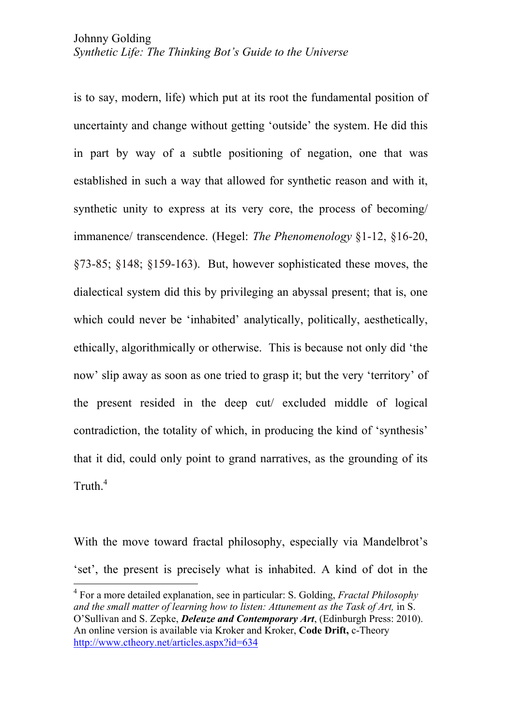is to say, modern, life) which put at its root the fundamental position of uncertainty and change without getting 'outside' the system. He did this in part by way of a subtle positioning of negation, one that was established in such a way that allowed for synthetic reason and with it, synthetic unity to express at its very core, the process of becoming/ immanence/ transcendence. (Hegel: *The Phenomenology* §1-12, §16-20, §73-85; §148; §159-163). But, however sophisticated these moves, the dialectical system did this by privileging an abyssal present; that is, one which could never be 'inhabited' analytically, politically, aesthetically, ethically, algorithmically or otherwise. This is because not only did 'the now' slip away as soon as one tried to grasp it; but the very 'territory' of the present resided in the deep cut/ excluded middle of logical contradiction, the totality of which, in producing the kind of 'synthesis' that it did, could only point to grand narratives, as the grounding of its Truth.4

With the move toward fractal philosophy, especially via Mandelbrot's 'set', the present is precisely what is inhabited. A kind of dot in the

 <sup>4</sup> For a more detailed explanation, see in particular: S. Golding, *Fractal Philosophy*  and the small matter of learning how to listen: Attunement as the Task of Art, in S. O'Sullivan and S. Zepke, *Deleuze and Contemporary Art*, (Edinburgh Press: 2010). An online version is available via Kroker and Kroker, **Code Drift,** c-Theory http://www.ctheory.net/articles.aspx?id=634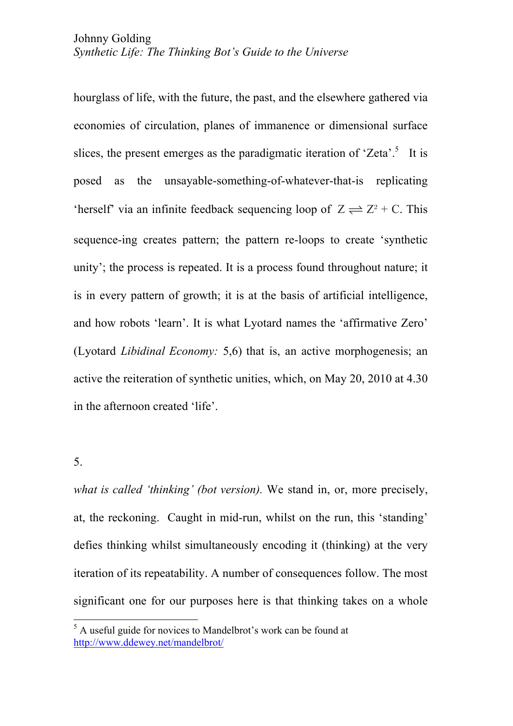hourglass of life, with the future, the past, and the elsewhere gathered via economies of circulation, planes of immanence or dimensional surface slices, the present emerges as the paradigmatic iteration of 'Zeta'.<sup>5</sup> It is posed as the unsayable-something-of-whatever-that-is replicating 'herself' via an infinite feedback sequencing loop of  $Z \rightleftharpoons Z^2 + C$ . This sequence-ing creates pattern; the pattern re-loops to create 'synthetic unity'; the process is repeated. It is a process found throughout nature; it is in every pattern of growth; it is at the basis of artificial intelligence, and how robots 'learn'. It is what Lyotard names the 'affirmative Zero' (Lyotard *Libidinal Economy:* 5,6) that is, an active morphogenesis; an active the reiteration of synthetic unities, which, on May 20, 2010 at 4.30 in the afternoon created 'life'.

5.

*what is called 'thinking' (bot version).* We stand in, or, more precisely, at, the reckoning. Caught in mid-run, whilst on the run, this 'standing' defies thinking whilst simultaneously encoding it (thinking) at the very iteration of its repeatability. A number of consequences follow. The most significant one for our purposes here is that thinking takes on a whole

 $<sup>5</sup>$  A useful guide for novices to Mandelbrot's work can be found at</sup> http://www.ddewey.net/mandelbrot/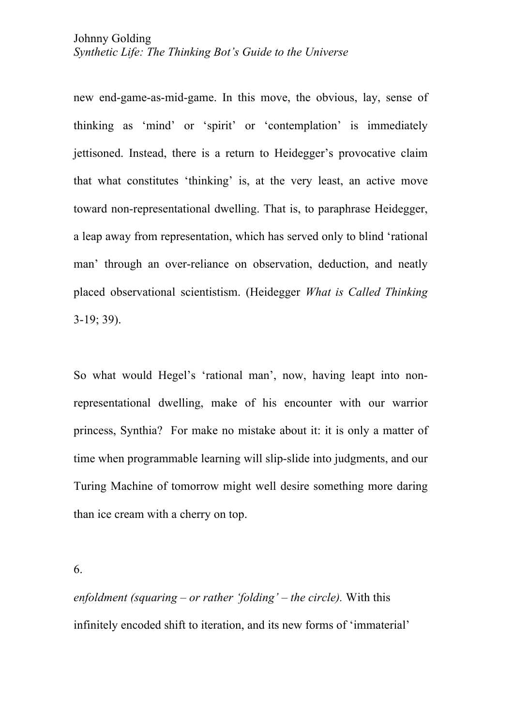new end-game-as-mid-game. In this move, the obvious, lay, sense of thinking as 'mind' or 'spirit' or 'contemplation' is immediately jettisoned. Instead, there is a return to Heidegger's provocative claim that what constitutes 'thinking' is, at the very least, an active move toward non-representational dwelling. That is, to paraphrase Heidegger, a leap away from representation, which has served only to blind 'rational man' through an over-reliance on observation, deduction, and neatly placed observational scientistism. (Heidegger *What is Called Thinking*  3-19; 39).

So what would Hegel's 'rational man', now, having leapt into nonrepresentational dwelling, make of his encounter with our warrior princess, Synthia? For make no mistake about it: it is only a matter of time when programmable learning will slip-slide into judgments, and our Turing Machine of tomorrow might well desire something more daring than ice cream with a cherry on top.

6.

*enfoldment (squaring – or rather 'folding' – the circle).* With this infinitely encoded shift to iteration, and its new forms of 'immaterial'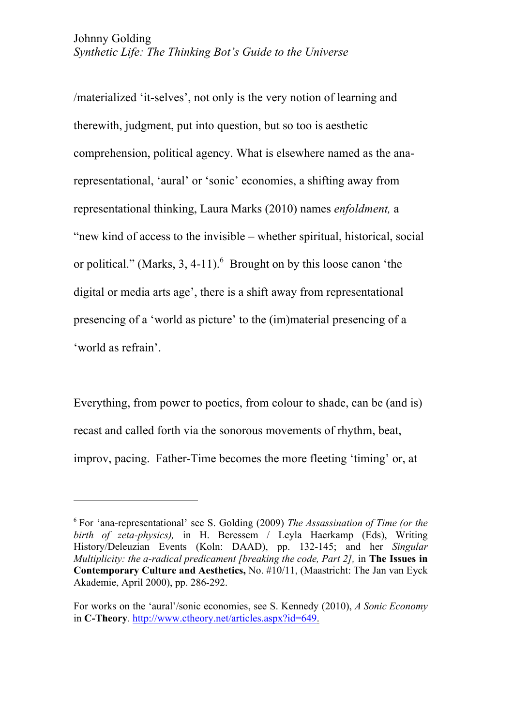/materialized 'it-selves', not only is the very notion of learning and therewith, judgment, put into question, but so too is aesthetic comprehension, political agency. What is elsewhere named as the anarepresentational, 'aural' or 'sonic' economies, a shifting away from representational thinking, Laura Marks (2010) names *enfoldment,* a "new kind of access to the invisible – whether spiritual, historical, social or political." (Marks, 3, 4-11). <sup>6</sup> Brought on by this loose canon 'the digital or media arts age', there is a shift away from representational presencing of a 'world as picture' to the (im)material presencing of a 'world as refrain'.

Everything, from power to poetics, from colour to shade, can be (and is) recast and called forth via the sonorous movements of rhythm, beat, improv, pacing. Father-Time becomes the more fleeting 'timing' or, at

 

<sup>6</sup> For 'ana-representational' see S. Golding (2009) *The Assassination of Time (or the birth of zeta-physics),* in H. Beressem / Leyla Haerkamp (Eds), Writing History/Deleuzian Events (Koln: DAAD), pp. 132-145; and her *Singular Multiplicity: the a-radical predicament [breaking the code, Part 2],* in **The Issues in Contemporary Culture and Aesthetics,** No. #10/11, (Maastricht: The Jan van Eyck Akademie, April 2000), pp. 286-292.

For works on the 'aural'/sonic economies, see S. Kennedy (2010), *A Sonic Economy* in **C-Theory***.* http://www.ctheory.net/articles.aspx?id=649.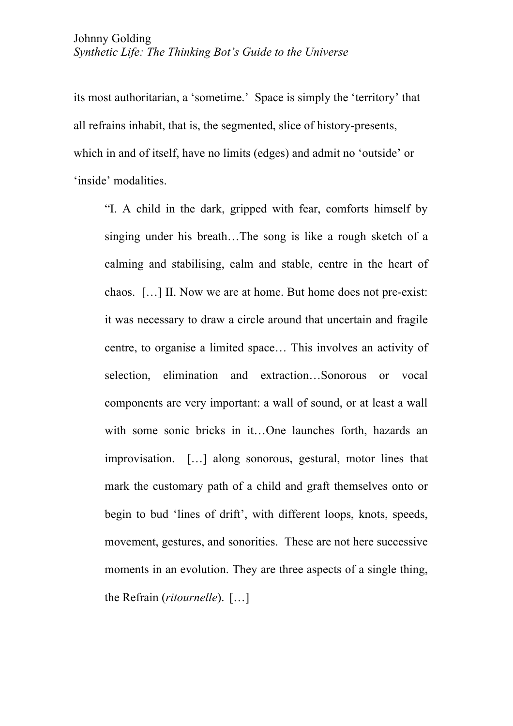its most authoritarian, a 'sometime.' Space is simply the 'territory' that all refrains inhabit, that is, the segmented, slice of history-presents, which in and of itself, have no limits (edges) and admit no 'outside' or 'inside' modalities.

"I. A child in the dark, gripped with fear, comforts himself by singing under his breath…The song is like a rough sketch of a calming and stabilising, calm and stable, centre in the heart of chaos. […] II. Now we are at home. But home does not pre-exist: it was necessary to draw a circle around that uncertain and fragile centre, to organise a limited space… This involves an activity of selection, elimination and extraction…Sonorous or vocal components are very important: a wall of sound, or at least a wall with some sonic bricks in it…One launches forth, hazards an improvisation. […] along sonorous, gestural, motor lines that mark the customary path of a child and graft themselves onto or begin to bud 'lines of drift', with different loops, knots, speeds, movement, gestures, and sonorities. These are not here successive moments in an evolution. They are three aspects of a single thing, the Refrain (*ritournelle*). […]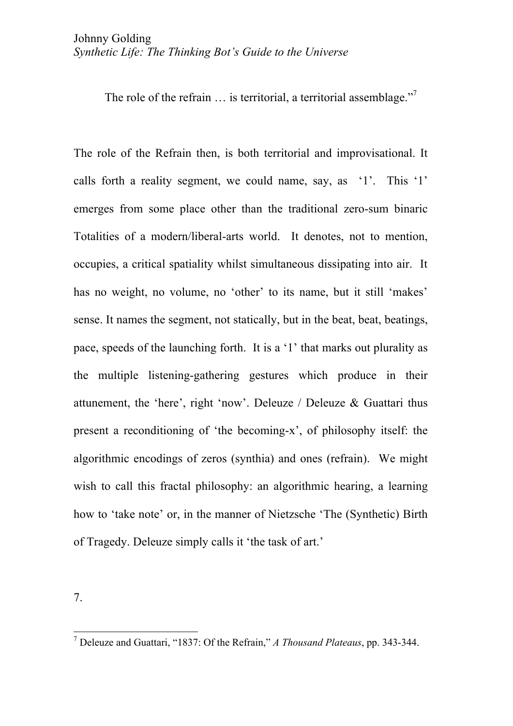The role of the refrain ... is territorial, a territorial assemblage."<sup>7</sup>

The role of the Refrain then, is both territorial and improvisational. It calls forth a reality segment, we could name, say, as '1'. This '1' emerges from some place other than the traditional zero-sum binaric Totalities of a modern/liberal-arts world. It denotes, not to mention, occupies, a critical spatiality whilst simultaneous dissipating into air. It has no weight, no volume, no 'other' to its name, but it still 'makes' sense. It names the segment, not statically, but in the beat, beat, beatings, pace, speeds of the launching forth. It is a '1' that marks out plurality as the multiple listening-gathering gestures which produce in their attunement, the 'here', right 'now'. Deleuze / Deleuze & Guattari thus present a reconditioning of 'the becoming-x', of philosophy itself: the algorithmic encodings of zeros (synthia) and ones (refrain). We might wish to call this fractal philosophy: an algorithmic hearing, a learning how to 'take note' or, in the manner of Nietzsche 'The (Synthetic) Birth of Tragedy. Deleuze simply calls it 'the task of art.'

7.

 <sup>7</sup> Deleuze and Guattari, "1837: Of the Refrain," *A Thousand Plateaus*, pp. 343-344.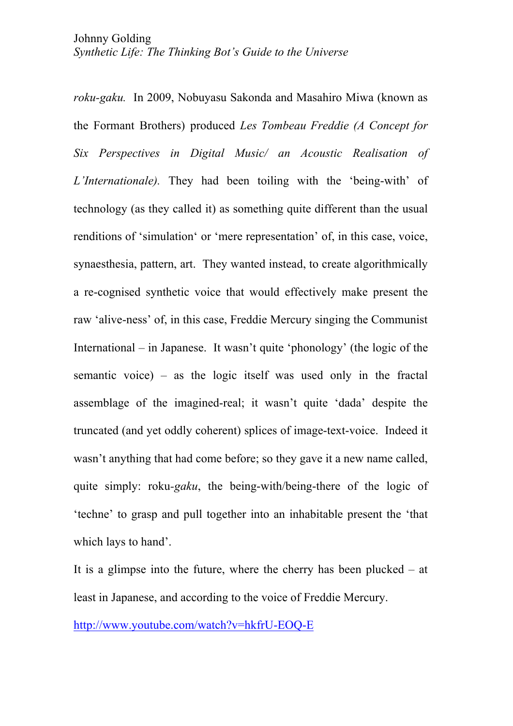*roku-gaku.* In 2009, Nobuyasu Sakonda and Masahiro Miwa (known as the Formant Brothers) produced *Les Tombeau Freddie (A Concept for Six Perspectives in Digital Music/ an Acoustic Realisation of L'Internationale).* They had been toiling with the 'being-with' of technology (as they called it) as something quite different than the usual renditions of 'simulation' or 'mere representation' of, in this case, voice, synaesthesia, pattern, art. They wanted instead, to create algorithmically a re-cognised synthetic voice that would effectively make present the raw 'alive-ness' of, in this case, Freddie Mercury singing the Communist International – in Japanese. It wasn't quite 'phonology' (the logic of the semantic voice) – as the logic itself was used only in the fractal assemblage of the imagined-real; it wasn't quite 'dada' despite the truncated (and yet oddly coherent) splices of image-text-voice. Indeed it wasn't anything that had come before; so they gave it a new name called, quite simply: roku*-gaku*, the being-with/being-there of the logic of 'techne' to grasp and pull together into an inhabitable present the 'that which lays to hand'.

It is a glimpse into the future, where the cherry has been plucked – at least in Japanese, and according to the voice of Freddie Mercury.

http://www.youtube.com/watch?v=hkfrU-EOQ-E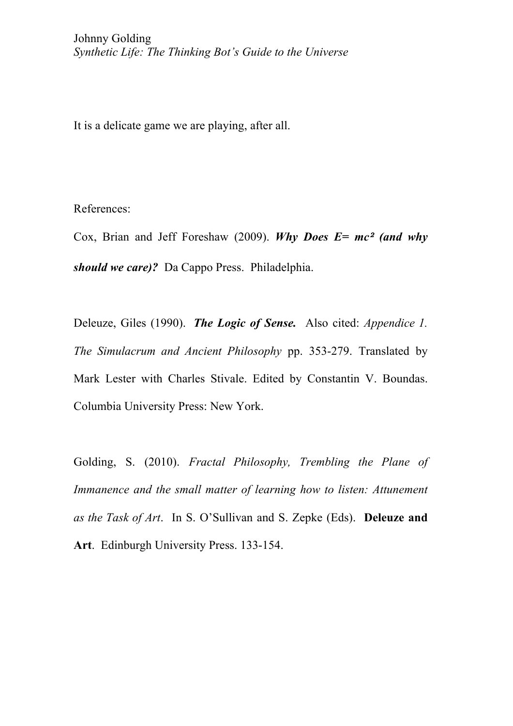It is a delicate game we are playing, after all.

## References:

Cox, Brian and Jeff Foreshaw (2009). *Why Does E= mc<sup>2</sup> (and why should we care)?* Da Cappo Press. Philadelphia.

Deleuze, Giles (1990). *The Logic of Sense.* Also cited: *Appendice 1. The Simulacrum and Ancient Philosophy* pp. 353-279. Translated by Mark Lester with Charles Stivale. Edited by Constantin V. Boundas. Columbia University Press: New York.

Golding, S. (2010). *Fractal Philosophy, Trembling the Plane of Immanence and the small matter of learning how to listen: Attunement as the Task of Art*. In S. O'Sullivan and S. Zepke (Eds). **Deleuze and Art**. Edinburgh University Press. 133-154.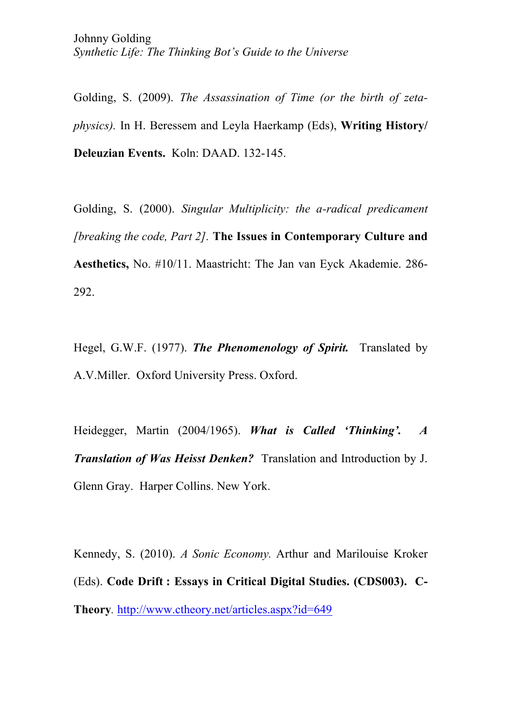Golding, S. (2009). *The Assassination of Time (or the birth of zetaphysics).* In H. Beressem and Leyla Haerkamp (Eds), **Writing History/ Deleuzian Events.** Koln: DAAD. 132-145.

Golding, S. (2000). *Singular Multiplicity: the a-radical predicament [breaking the code, Part 2].* **The Issues in Contemporary Culture and Aesthetics,** No. #10/11. Maastricht: The Jan van Eyck Akademie. 286- 292.

Hegel, G.W.F. (1977). *The Phenomenology of Spirit.* Translated by A.V.Miller. Oxford University Press. Oxford.

Heidegger, Martin (2004/1965). *What is Called 'Thinking'. A Translation of Was Heisst Denken?* Translation and Introduction by J. Glenn Gray. Harper Collins. New York.

Kennedy, S. (2010). *A Sonic Economy.* Arthur and Marilouise Kroker (Eds). **Code Drift : Essays in Critical Digital Studies. (CDS003). C-Theory***.* http://www.ctheory.net/articles.aspx?id=649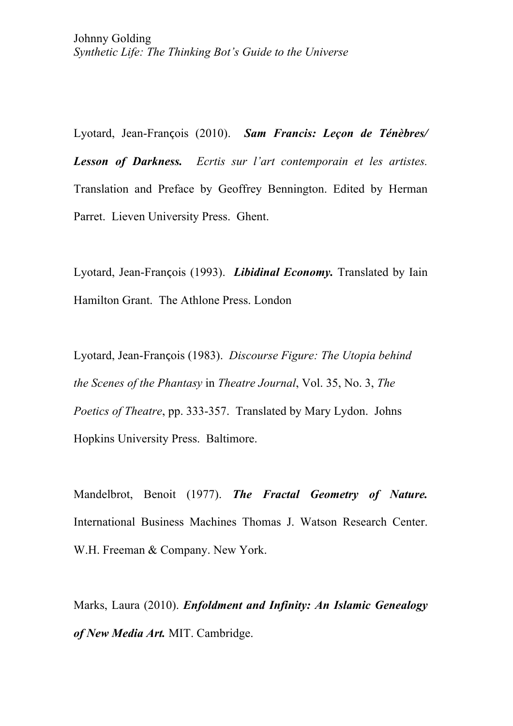Lyotard, Jean-François (2010). *Sam Francis: Leçon de Ténèbres/ Lesson of Darkness. Ecrtis sur l'art contemporain et les artistes.* Translation and Preface by Geoffrey Bennington. Edited by Herman Parret. Lieven University Press. Ghent.

Lyotard, Jean-François (1993). *Libidinal Economy.* Translated by Iain Hamilton Grant. The Athlone Press. London

Lyotard, Jean-François (1983). *Discourse Figure: The Utopia behind the Scenes of the Phantasy* in *Theatre Journal*, Vol. 35, No. 3, *The Poetics of Theatre*, pp. 333-357. Translated by Mary Lydon. Johns Hopkins University Press. Baltimore.

Mandelbrot, Benoit (1977). *The Fractal Geometry of Nature.* International Business Machines Thomas J. Watson Research Center. W.H. Freeman & Company. New York.

Marks, Laura (2010). *Enfoldment and Infinity: An Islamic Genealogy of New Media Art.* MIT. Cambridge.